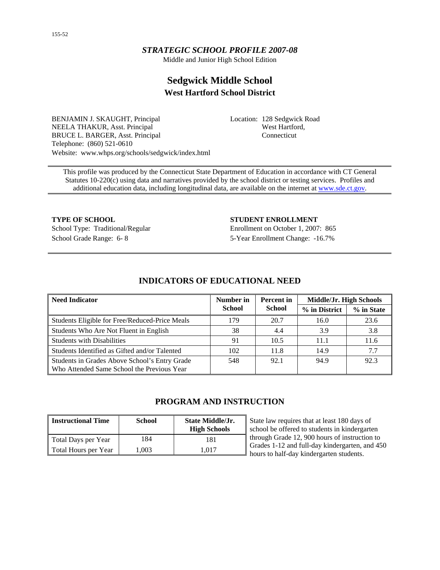## *STRATEGIC SCHOOL PROFILE 2007-08*

Middle and Junior High School Edition

# **Sedgwick Middle School West Hartford School District**

BENJAMIN J. SKAUGHT, Principal NEELA THAKUR, Asst. Principal BRUCE L. BARGER, Asst. Principal Telephone: (860) 521-0610 Website: www.whps.org/schools/sedgwick/index.html Location: 128 Sedgwick Road West Hartford, Connecticut

This profile was produced by the Connecticut State Department of Education in accordance with CT General Statutes 10-220(c) using data and narratives provided by the school district or testing services. Profiles and additional education data, including longitudinal data, are available on the internet at [www.sde.ct.gov.](http://www.sde.ct.gov/)

**TYPE OF SCHOOL STUDENT ENROLLMENT** School Grade Range: 6- 8 5-Year Enrollment Change: -16.7%

School Type: Traditional/Regular Enrollment on October 1, 2007: 865

## **INDICATORS OF EDUCATIONAL NEED**

| l Need Indicator                                                                            | Number in     | <b>Percent</b> in | Middle/Jr. High Schools |            |  |
|---------------------------------------------------------------------------------------------|---------------|-------------------|-------------------------|------------|--|
|                                                                                             | <b>School</b> | School            | % in District           | % in State |  |
| Students Eligible for Free/Reduced-Price Meals                                              | 179           | 20.7              | 16.0                    | 23.6       |  |
| Students Who Are Not Fluent in English                                                      | 38            | 4.4               | 3.9                     | 3.8        |  |
| <b>Students with Disabilities</b>                                                           | 91            | 10.5              | 11.1                    | 11.6       |  |
| Students Identified as Gifted and/or Talented                                               | 102           | 11.8              | 14.9                    | 7.7        |  |
| Students in Grades Above School's Entry Grade<br>Who Attended Same School the Previous Year | 548           | 92.1              | 94.9                    | 92.3       |  |

## **PROGRAM AND INSTRUCTION**

| Instructional Time   | <b>School</b> | <b>State Middle/Jr.</b><br><b>High Schools</b> | State law requires tha<br>school be offered to s |
|----------------------|---------------|------------------------------------------------|--------------------------------------------------|
| Total Days per Year  | 84            | 181                                            | through Grade 12, 90                             |
| Total Hours per Year | 1.003         | 1.017                                          | Grades 1-12 and full-<br>hours to half-day kind  |

t at least 180 days of tudents in kindergarten 0 hours of instruction to day kindergarten, and 450 dergarten students.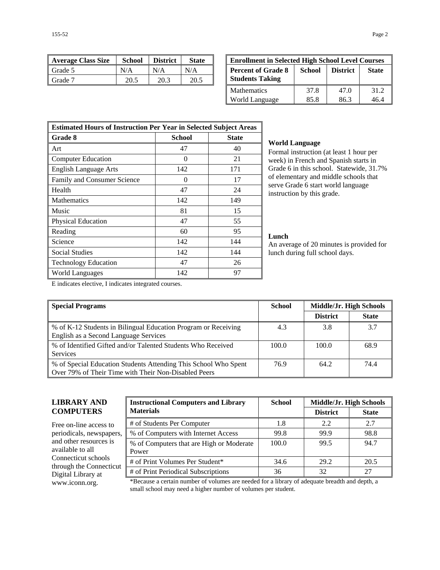| 155-52 | Page 2 |
|--------|--------|
|--------|--------|

| <b>Average Class Size</b> | <b>School</b> | <b>District</b> | <b>State</b> | <b>Enrollment in Selected High School Level Courses</b> |        |                 |              |
|---------------------------|---------------|-----------------|--------------|---------------------------------------------------------|--------|-----------------|--------------|
| Grade 5                   | N/A           | N/A             | N/A          | <b>Percent of Grade 8</b>                               | School | <b>District</b> | <b>State</b> |
| Grade <sup>7</sup>        | 20.5          | 20.3            | 20.5         | <b>Students Taking</b>                                  |        |                 |              |

| <b>Enrollment in Selected High School Level Courses</b>                                          |      |      |      |  |  |  |
|--------------------------------------------------------------------------------------------------|------|------|------|--|--|--|
| <b>Percent of Grade 8</b><br>School<br><b>District</b><br><b>State</b><br><b>Students Taking</b> |      |      |      |  |  |  |
| <b>Mathematics</b>                                                                               | 37.8 | 47.0 | 31.2 |  |  |  |
| World Language                                                                                   | 85.8 | 86.3 | 46.4 |  |  |  |

| <b>Estimated Hours of Instruction Per Year in Selected Subject Areas</b> |                   |              |  |  |
|--------------------------------------------------------------------------|-------------------|--------------|--|--|
| Grade 8                                                                  | School            | <b>State</b> |  |  |
| Art                                                                      | 47                | 40           |  |  |
| <b>Computer Education</b>                                                | $\mathbf{\Omega}$ | 21           |  |  |
| <b>English Language Arts</b>                                             | 142               | 171          |  |  |
| Family and Consumer Science                                              | $\mathbf{\Omega}$ | 17           |  |  |
| Health                                                                   | 47                | 24           |  |  |
| Mathematics                                                              | 142               | 149          |  |  |
| Music                                                                    | 81                | 15           |  |  |
| <b>Physical Education</b>                                                | 47                | 55           |  |  |
| Reading                                                                  | 60                | 95           |  |  |
| Science                                                                  | 142               | 144          |  |  |
| <b>Social Studies</b>                                                    | 142               | 144          |  |  |
| <b>Technology Education</b>                                              | 47                | 26           |  |  |
| World Languages                                                          | 142               | 97           |  |  |

#### **World Language**

Formal instruction (at least 1 hour per week) in French and Spanish starts in Grade 6 in this school. Statewide, 31.7% of elementary and middle schools that serve Grade 6 start world language instruction by this grade.

### **Lunch**

An average of 20 minutes is provided for lunch during full school days.

E indicates elective, I indicates integrated courses.

| <b>Special Programs</b>                                                                                                 | <b>School</b> | Middle/Jr. High Schools |              |
|-------------------------------------------------------------------------------------------------------------------------|---------------|-------------------------|--------------|
|                                                                                                                         |               | <b>District</b>         | <b>State</b> |
| % of K-12 Students in Bilingual Education Program or Receiving<br>English as a Second Language Services                 | 4.3           | 3.8                     | 3.7          |
| % of Identified Gifted and/or Talented Students Who Received<br><b>Services</b>                                         | 100.0         | 100.0                   | 68.9         |
| % of Special Education Students Attending This School Who Spent<br>Over 79% of Their Time with Their Non-Disabled Peers | 76.9          | 64.2                    | 74.4         |

## **LIBRARY AND COMPUTERS**

Free on-line access to periodicals, newspapers, and other resources is available to all Connecticut schools through the Connecticut Digital Library at

| <b>Instructional Computers and Library</b>        | <b>School</b> | Middle/Jr. High Schools |              |  |
|---------------------------------------------------|---------------|-------------------------|--------------|--|
| <b>Materials</b>                                  |               | <b>District</b>         | <b>State</b> |  |
| # of Students Per Computer                        | 1.8           | 2.2                     | 2.7          |  |
| % of Computers with Internet Access               | 99.8          | 99.9                    | 98.8         |  |
| % of Computers that are High or Moderate<br>Power | 100.0         | 99.5                    | 94.7         |  |
| # of Print Volumes Per Student*                   | 34.6          | 29.2                    | 20.5         |  |
| # of Print Periodical Subscriptions               | 36            | 32                      | 27           |  |

www.iconn.org. \*Because a certain number of volumes are needed for a library of adequate breadth and depth, a small school may need a higher number of volumes per student.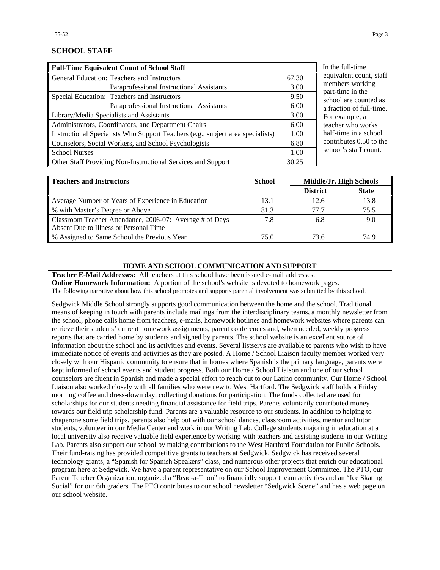## **SCHOOL STAFF**

| <b>Full-Time Equivalent Count of School Staff</b>                               |       |
|---------------------------------------------------------------------------------|-------|
| General Education: Teachers and Instructors                                     | 67.30 |
| Paraprofessional Instructional Assistants                                       | 3.00  |
| Special Education: Teachers and Instructors                                     | 9.50  |
| Paraprofessional Instructional Assistants                                       | 6.00  |
| Library/Media Specialists and Assistants                                        | 3.00  |
| Administrators, Coordinators, and Department Chairs                             | 6.00  |
| Instructional Specialists Who Support Teachers (e.g., subject area specialists) | 1.00  |
| Counselors, Social Workers, and School Psychologists                            | 6.80  |
| <b>School Nurses</b>                                                            | 1.00  |
| Other Staff Providing Non-Instructional Services and Support                    | 30.25 |

the full-time uivalent count, staff members working rt-time in the nool are counted as raction of full-time. r example, a cher who works lf-time in a school ntributes  $0.50$  to the nool's staff count.

| <b>Teachers and Instructors</b>                          | <b>School</b> | Middle/Jr. High Schools |              |
|----------------------------------------------------------|---------------|-------------------------|--------------|
|                                                          |               | <b>District</b>         | <b>State</b> |
| Average Number of Years of Experience in Education       | 13.1          | 12.6                    | 13.8         |
| % with Master's Degree or Above                          | 81.3          | 77.7                    | 75.5         |
| Classroom Teacher Attendance, 2006-07: Average # of Days | 7.8           | 6.8                     | 9.0          |
| Absent Due to Illness or Personal Time                   |               |                         |              |
| % Assigned to Same School the Previous Year              | 75.0          | 73.6                    | 74.9         |

#### **HOME AND SCHOOL COMMUNICATION AND SUPPORT**

**Teacher E-Mail Addresses:** All teachers at this school have been issued e-mail addresses. **Online Homework Information:** A portion of the school's website is devoted to homework pages.

The following narrative about how this school promotes and supports parental involvement was submitted by this school.

Sedgwick Middle School strongly supports good communication between the home and the school. Traditional means of keeping in touch with parents include mailings from the interdisciplinary teams, a monthly newsletter from the school, phone calls home from teachers, e-mails, homework hotlines and homework websites where parents can retrieve their students' current homework assignments, parent conferences and, when needed, weekly progress reports that are carried home by students and signed by parents. The school website is an excellent source of information about the school and its activities and events. Several listservs are available to parents who wish to have immediate notice of events and activities as they are posted. A Home / School Liaison faculty member worked very closely with our Hispanic community to ensure that in homes where Spanish is the primary language, parents were kept informed of school events and student progress. Both our Home / School Liaison and one of our school counselors are fluent in Spanish and made a special effort to reach out to our Latino community. Our Home / School Liaison also worked closely with all families who were new to West Hartford. The Sedgwick staff holds a Friday morning coffee and dress-down day, collecting donations for participation. The funds collected are used for scholarships for our students needing financial assistance for field trips. Parents voluntarily contributed money towards our field trip scholarship fund. Parents are a valuable resource to our students. In addition to helping to chaperone some field trips, parents also help out with our school dances, classroom activities, mentor and tutor students, volunteer in our Media Center and work in our Writing Lab. College students majoring in education at a local university also receive valuable field experience by working with teachers and assisting students in our Writing Lab. Parents also support our school by making contributions to the West Hartford Foundation for Public Schools. Their fund-raising has provided competitive grants to teachers at Sedgwick. Sedgwick has received several technology grants, a "Spanish for Spanish Speakers" class, and numerous other projects that enrich our educational program here at Sedgwick. We have a parent representative on our School Improvement Committee. The PTO, our Parent Teacher Organization, organized a "Read-a-Thon" to financially support team activities and an "Ice Skating Social" for our 6th graders. The PTO contributes to our school newsletter "Sedgwick Scene" and has a web page on our school website.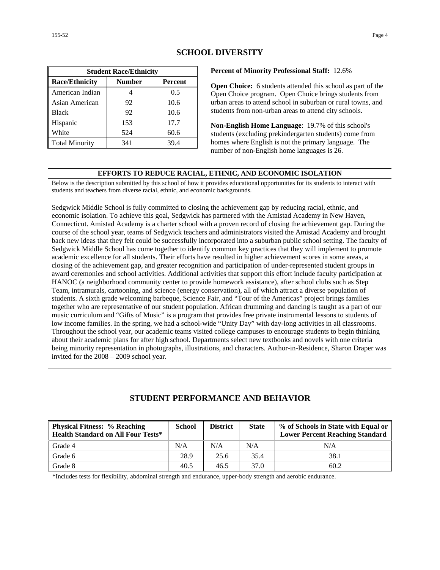| <b>Student Race/Ethnicity</b>              |     |      |  |  |  |  |
|--------------------------------------------|-----|------|--|--|--|--|
| <b>Race/Ethnicity</b><br>Number<br>Percent |     |      |  |  |  |  |
| American Indian                            |     | 0.5  |  |  |  |  |
| Asian American                             | 92  | 10.6 |  |  |  |  |
| <b>Black</b>                               | 92  | 10.6 |  |  |  |  |
| Hispanic                                   | 153 | 17.7 |  |  |  |  |
| White                                      | 524 | 60.6 |  |  |  |  |
| <b>Total Minority</b>                      | 341 | 39.4 |  |  |  |  |

## **SCHOOL DIVERSITY**

#### **Percent of Minority Professional Staff:** 12.6%

**Open Choice:** 6 students attended this school as part of the Open Choice program. Open Choice brings students from urban areas to attend school in suburban or rural towns, and students from non-urban areas to attend city schools.

**Non-English Home Language**: 19.7% of this school's students (excluding prekindergarten students) come from homes where English is not the primary language. The number of non-English home languages is 26.

#### **EFFORTS TO REDUCE RACIAL, ETHNIC, AND ECONOMIC ISOLATION**

Below is the description submitted by this school of how it provides educational opportunities for its students to interact with students and teachers from diverse racial, ethnic, and economic backgrounds.

Sedgwick Middle School is fully committed to closing the achievement gap by reducing racial, ethnic, and economic isolation. To achieve this goal, Sedgwick has partnered with the Amistad Academy in New Haven, Connecticut. Amistad Academy is a charter school with a proven record of closing the achievement gap. During the course of the school year, teams of Sedgwick teachers and administrators visited the Amistad Academy and brought back new ideas that they felt could be successfully incorporated into a suburban public school setting. The faculty of Sedgwick Middle School has come together to identify common key practices that they will implement to promote academic excellence for all students. Their efforts have resulted in higher achievement scores in some areas, a closing of the achievement gap, and greater recognition and participation of under-represented student groups in award ceremonies and school activities. Additional activities that support this effort include faculty participation at HANOC (a neighborhood community center to provide homework assistance), after school clubs such as Step Team, intramurals, cartooning, and science (energy conservation), all of which attract a diverse population of students. A sixth grade welcoming barbeque, Science Fair, and "Tour of the Americas" project brings families together who are representative of our student population. African drumming and dancing is taught as a part of our music curriculum and "Gifts of Music" is a program that provides free private instrumental lessons to students of low income families. In the spring, we had a school-wide "Unity Day" with day-long activities in all classrooms. Throughout the school year, our academic teams visited college campuses to encourage students to begin thinking about their academic plans for after high school. Departments select new textbooks and novels with one criteria being minority representation in photographs, illustrations, and characters. Author-in-Residence, Sharon Draper was invited for the 2008 – 2009 school year.

| <b>Physical Fitness: % Reaching</b><br><b>Health Standard on All Four Tests*</b> | <b>School</b> | <b>District</b> | <b>State</b> | % of Schools in State with Equal or<br><b>Lower Percent Reaching Standard</b> |
|----------------------------------------------------------------------------------|---------------|-----------------|--------------|-------------------------------------------------------------------------------|
| Grade 4                                                                          | N/A           | N/A             | N/A          | N/A                                                                           |
| Grade 6                                                                          | 28.9          | 25.6            | 35.4         | 38.1                                                                          |
| Grade 8                                                                          | 40.5          | 46.5            | 37.0         | 60.2                                                                          |

## **STUDENT PERFORMANCE AND BEHAVIOR**

\*Includes tests for flexibility, abdominal strength and endurance, upper-body strength and aerobic endurance.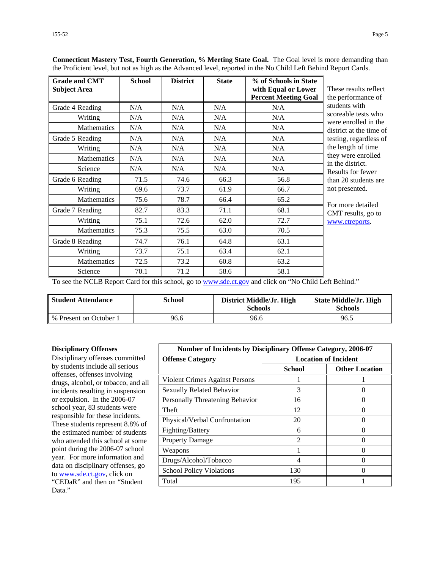| <b>Grade and CMT</b><br><b>Subject Area</b> | <b>School</b> | <b>District</b> | <b>State</b> | % of Schools in State<br>with Equal or Lower<br><b>Percent Meeting Goal</b> | These results reflect<br>the performance of |
|---------------------------------------------|---------------|-----------------|--------------|-----------------------------------------------------------------------------|---------------------------------------------|
| Grade 4 Reading                             | N/A           | N/A             | N/A          | N/A                                                                         | students with                               |
| Writing                                     | N/A           | N/A             | N/A          | N/A                                                                         | scoreable tests who<br>were enrolled in the |
| Mathematics                                 | N/A           | N/A             | N/A          | N/A                                                                         | district at the time of                     |
| Grade 5 Reading                             | N/A           | N/A             | N/A          | N/A                                                                         | testing, regardless of                      |
| Writing                                     | N/A           | N/A             | N/A          | N/A                                                                         | the length of time                          |
| <b>Mathematics</b>                          | N/A           | N/A             | N/A          | N/A                                                                         | they were enrolled                          |
| Science                                     | N/A           | N/A             | N/A          | N/A                                                                         | in the district.<br>Results for fewer       |
| Grade 6 Reading                             | 71.5          | 74.6            | 66.3         | 56.8                                                                        | than 20 students are                        |
| Writing                                     | 69.6          | 73.7            | 61.9         | 66.7                                                                        | not presented.                              |
| Mathematics                                 | 75.6          | 78.7            | 66.4         | 65.2                                                                        | For more detailed                           |
| Grade 7 Reading                             | 82.7          | 83.3            | 71.1         | 68.1                                                                        | CMT results, go to                          |
| Writing                                     | 75.1          | 72.6            | 62.0         | 72.7                                                                        | www.ctreports.                              |
| Mathematics                                 | 75.3          | 75.5            | 63.0         | 70.5                                                                        |                                             |
| Grade 8 Reading                             | 74.7          | 76.1            | 64.8         | 63.1                                                                        |                                             |
| Writing                                     | 73.7          | 75.1            | 63.4         | 62.1                                                                        |                                             |
| <b>Mathematics</b>                          | 72.5          | 73.2            | 60.8         | 63.2                                                                        |                                             |
| Science                                     | 70.1          | 71.2            | 58.6         | 58.1                                                                        |                                             |

**Connecticut Mastery Test, Fourth Generation, % Meeting State Goal.** The Goal level is more demanding than the Proficient level, but not as high as the Advanced level, reported in the No Child Left Behind Report Cards.

To see the NCLB Report Card for this school, go to [www.sde.ct.gov](http://www.sde.ct.gov/) and click on "No Child Left Behind."

| <b>Student Attendance</b> | School | District Middle/Jr. High<br><b>Schools</b> | <b>State Middle/Jr. High</b><br><b>Schools</b> |
|---------------------------|--------|--------------------------------------------|------------------------------------------------|
| % Present on October 1    | 96.6   | 96.6                                       | 96.5                                           |

#### **Disciplinary Offenses**

Disciplinary offenses committed by students include all serious offenses, offenses involving drugs, alcohol, or tobacco, and all incidents resulting in suspension or expulsion. In the 2006-07 school year, 83 students were responsible for these incidents. These students represent 8.8% of the estimated number of students who attended this school at some point during the 2006-07 school year. For more information and data on disciplinary offenses, go to [www.sde.ct.gov](http://www.sde.ct.gov/), click on "CEDaR" and then on "Student Data."

| <b>Number of Incidents by Disciplinary Offense Category, 2006-07</b> |                             |                       |  |  |
|----------------------------------------------------------------------|-----------------------------|-----------------------|--|--|
| <b>Offense Category</b>                                              | <b>Location of Incident</b> |                       |  |  |
|                                                                      | <b>School</b>               | <b>Other Location</b> |  |  |
| <b>Violent Crimes Against Persons</b>                                |                             |                       |  |  |
| Sexually Related Behavior                                            | 3                           |                       |  |  |
| Personally Threatening Behavior                                      | 16                          |                       |  |  |
| Theft                                                                | 12                          |                       |  |  |
| Physical/Verbal Confrontation                                        | 20                          |                       |  |  |
| Fighting/Battery                                                     | 6                           |                       |  |  |
| <b>Property Damage</b>                                               | 2                           |                       |  |  |
| Weapons                                                              |                             |                       |  |  |
| Drugs/Alcohol/Tobacco                                                | 4                           |                       |  |  |
| <b>School Policy Violations</b>                                      | 130                         |                       |  |  |
| Total                                                                | 195                         |                       |  |  |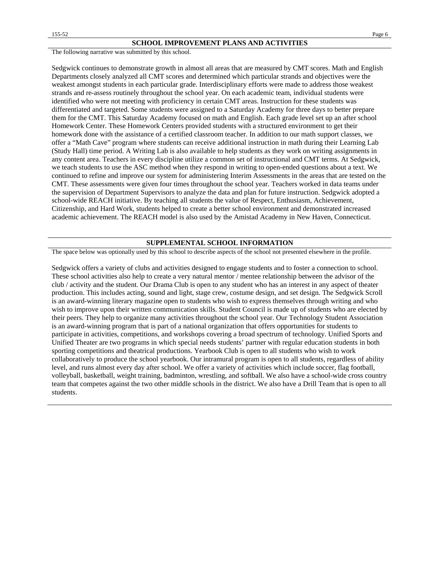The following narrative was submitted by this school.

Sedgwick continues to demonstrate growth in almost all areas that are measured by CMT scores. Math and English Departments closely analyzed all CMT scores and determined which particular strands and objectives were the weakest amongst students in each particular grade. Interdisciplinary efforts were made to address those weakest strands and re-assess routinely throughout the school year. On each academic team, individual students were identified who were not meeting with proficiency in certain CMT areas. Instruction for these students was differentiated and targeted. Some students were assigned to a Saturday Academy for three days to better prepare them for the CMT. This Saturday Academy focused on math and English. Each grade level set up an after school Homework Center. These Homework Centers provided students with a structured environment to get their homework done with the assistance of a certified classroom teacher. In addition to our math support classes, we offer a "Math Cave" program where students can receive additional instruction in math during their Learning Lab (Study Hall) time period. A Writing Lab is also available to help students as they work on writing assignments in any content area. Teachers in every discipline utilize a common set of instructional and CMT terms. At Sedgwick, we teach students to use the ASC method when they respond in writing to open-ended questions about a text. We continued to refine and improve our system for administering Interim Assessments in the areas that are tested on the CMT. These assessments were given four times throughout the school year. Teachers worked in data teams under the supervision of Department Supervisors to analyze the data and plan for future instruction. Sedgwick adopted a school-wide REACH initiative. By teaching all students the value of Respect, Enthusiasm, Achievement, Citizenship, and Hard Work, students helped to create a better school environment and demonstrated increased academic achievement. The REACH model is also used by the Amistad Academy in New Haven, Connecticut.

#### **SUPPLEMENTAL SCHOOL INFORMATION**

The space below was optionally used by this school to describe aspects of the school not presented elsewhere in the profile.

Sedgwick offers a variety of clubs and activities designed to engage students and to foster a connection to school. These school activities also help to create a very natural mentor / mentee relationship between the advisor of the club / activity and the student. Our Drama Club is open to any student who has an interest in any aspect of theater production. This includes acting, sound and light, stage crew, costume design, and set design. The Sedgwick Scroll is an award-winning literary magazine open to students who wish to express themselves through writing and who wish to improve upon their written communication skills. Student Council is made up of students who are elected by their peers. They help to organize many activities throughout the school year. Our Technology Student Association is an award-winning program that is part of a national organization that offers opportunities for students to participate in activities, competitions, and workshops covering a broad spectrum of technology. Unified Sports and Unified Theater are two programs in which special needs students' partner with regular education students in both sporting competitions and theatrical productions. Yearbook Club is open to all students who wish to work collaboratively to produce the school yearbook. Our intramural program is open to all students, regardless of ability level, and runs almost every day after school. We offer a variety of activities which include soccer, flag football, volleyball, basketball, weight training, badminton, wrestling, and softball. We also have a school-wide cross country team that competes against the two other middle schools in the district. We also have a Drill Team that is open to all students.